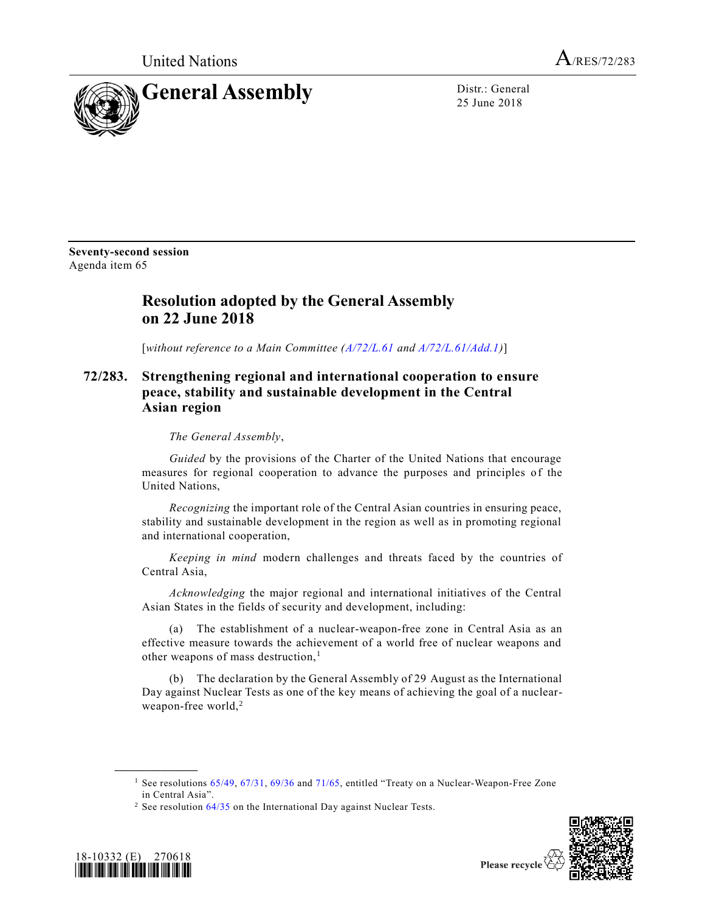United Nations  $A_{/RES/72/283}$ 



25 June 2018

**Seventy-second session** Agenda item 65

## **Resolution adopted by the General Assembly on 22 June 2018**

[*without reference to a Main Committee [\(A/72/L.61](https://undocs.org/A/72/L.61) and [A/72/L.61/Add.1\)](https://undocs.org/A/72/L.61/Add.1)*]

## **72/283. Strengthening regional and international cooperation to ensure peace, stability and sustainable development in the Central Asian region**

*The General Assembly*,

*Guided* by the provisions of the Charter of the United Nations that encourage measures for regional cooperation to advance the purposes and principles of the United Nations,

*Recognizing* the important role of the Central Asian countries in ensuring peace, stability and sustainable development in the region as well as in promoting regional and international cooperation,

*Keeping in mind* modern challenges and threats faced by the countries of Central Asia,

*Acknowledging* the major regional and international initiatives of the Central Asian States in the fields of security and development, including:

(a) The establishment of a nuclear-weapon-free zone in Central Asia as an effective measure towards the achievement of a world free of nuclear weapons and other weapons of mass destruction,<sup>1</sup>

(b) The declaration by the General Assembly of 29 August as the International Day against Nuclear Tests as one of the key means of achieving the goal of a nuclearweapon-free world,<sup>2</sup>

<sup>&</sup>lt;sup>2</sup> See resolution  $64/35$  on the International Day against Nuclear Tests.



**\_\_\_\_\_\_\_\_\_\_\_\_\_\_\_\_\_\_**

Please recycle

<sup>&</sup>lt;sup>1</sup> See resolutions [65/49,](https://undocs.org/A/RES/65/49) [67/31,](https://undocs.org/A/RES/67/31) [69/36](https://undocs.org/A/RES/69/36) and [71/65,](https://undocs.org/A/RES/71/65) entitled "Treaty on a Nuclear-Weapon-Free Zone in Central Asia".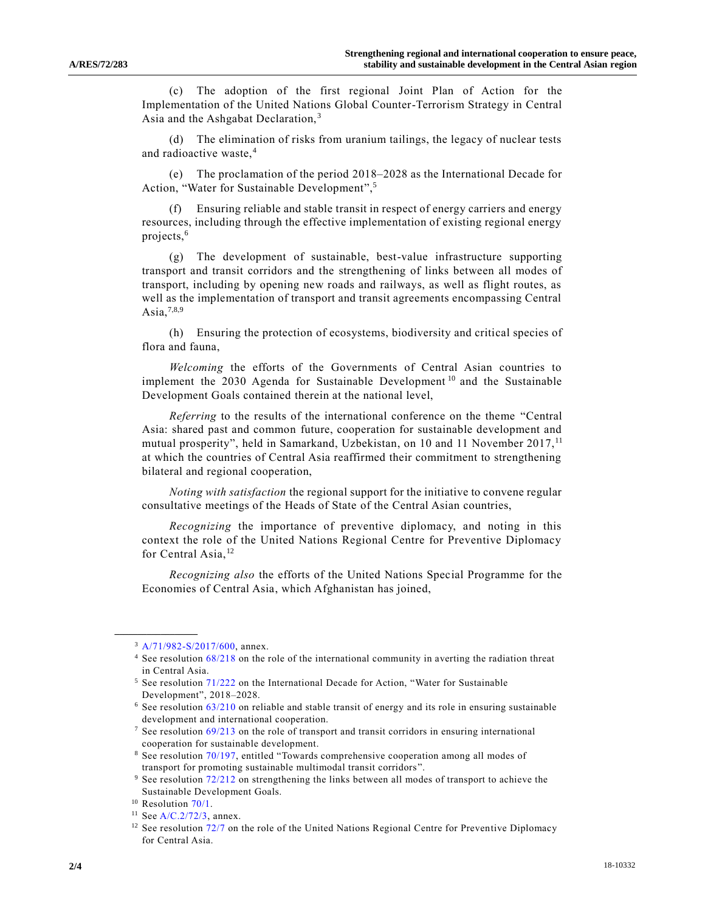(c) The adoption of the first regional Joint Plan of Action for the Implementation of the United Nations Global Counter-Terrorism Strategy in Central Asia and the Ashgabat Declaration,<sup>3</sup>

(d) The elimination of risks from uranium tailings, the legacy of nuclear tests and radioactive waste,<sup>4</sup>

(e) The proclamation of the period 2018–2028 as the International Decade for Action, "Water for Sustainable Development",<sup>5</sup>

Ensuring reliable and stable transit in respect of energy carriers and energy resources, including through the effective implementation of existing regional energy projects,<sup>6</sup>

(g) The development of sustainable, best-value infrastructure supporting transport and transit corridors and the strengthening of links between all modes of transport, including by opening new roads and railways, as well as flight routes, as well as the implementation of transport and transit agreements encompassing Central Asia, $^{7,8,9}$ 

(h) Ensuring the protection of ecosystems, biodiversity and critical species of flora and fauna,

*Welcoming* the efforts of the Governments of Central Asian countries to implement the 2030 Agenda for Sustainable Development<sup>10</sup> and the Sustainable Development Goals contained therein at the national level,

<span id="page-1-0"></span>*Referring* to the results of the international conference on the theme "Central Asia: shared past and common future, cooperation for sustainable development and mutual prosperity", held in Samarkand, Uzbekistan, on 10 and 11 November 2017,<sup>11</sup> at which the countries of Central Asia reaffirmed their commitment to strengthening bilateral and regional cooperation,

*Noting with satisfaction* the regional support for the initiative to convene regular consultative meetings of the Heads of State of the Central Asian countries,

*Recognizing* the importance of preventive diplomacy, and noting in this context the role of the United Nations Regional Centre for Preventive Diplomacy for Central Asia,<sup>12</sup>

*Recognizing also* the efforts of the United Nations Special Programme for the Economies of Central Asia, which Afghanistan has joined,

**\_\_\_\_\_\_\_\_\_\_\_\_\_\_\_\_\_\_**

 $3$  [A/71/982-S/2017/600,](https://undocs.org/A/71/982) annex.

<sup>4</sup> See resolution [68/218](https://undocs.org/A/RES/68/218) on the role of the international community in averting the radiation threat in Central Asia.

<sup>&</sup>lt;sup>5</sup> See resolution [71/222](https://undocs.org/A/RES/71/222) on the International Decade for Action, "Water for Sustainable Development", 2018–2028.

<sup>6</sup> See resolution [63/210](https://undocs.org/A/RES/63/210) on reliable and stable transit of energy and its role in ensuring sustainable development and international cooperation.

 $7$  See resolution  $69/213$  on the role of transport and transit corridors in ensuring international cooperation for sustainable development.

<sup>&</sup>lt;sup>8</sup> See resolution [70/197,](https://undocs.org/A/RES/70/197) entitled "Towards comprehensive cooperation among all modes of transport for promoting sustainable multimodal transit corridors ".

<sup>&</sup>lt;sup>9</sup> See resolution [72/212](https://undocs.org/A/RES/72/212) on strengthening the links between all modes of transport to achieve the Sustainable Development Goals.

<sup>&</sup>lt;sup>10</sup> Resolution [70/1.](https://undocs.org/A/RES/70/1)

 $11$  Se[e A/C.2/72/3,](https://undocs.org/A/C.2/72/3) annex.

 $12$  See resolution [72/7](https://undocs.org/A/RES/72/7) on the role of the United Nations Regional Centre for Preventive Diplomacy for Central Asia.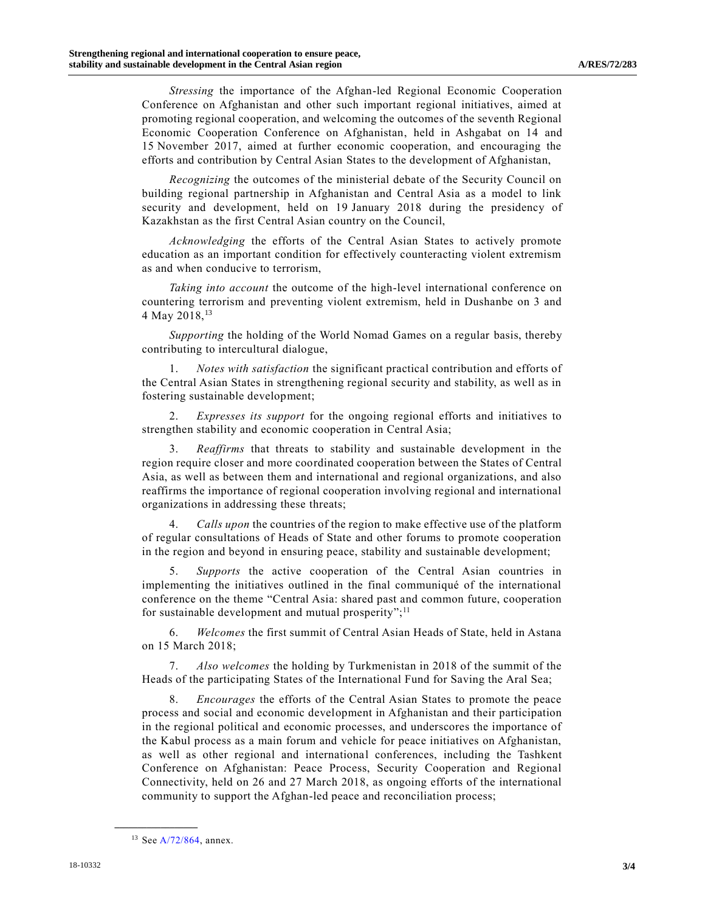*Stressing* the importance of the Afghan-led Regional Economic Cooperation Conference on Afghanistan and other such important regional initiatives, aimed at promoting regional cooperation, and welcoming the outcomes of the seventh Regional Economic Cooperation Conference on Afghanistan, held in Ashgabat on 14 and 15 November 2017, aimed at further economic cooperation, and encouraging the efforts and contribution by Central Asian States to the development of Afghanistan,

*Recognizing* the outcomes of the ministerial debate of the Security Council on building regional partnership in Afghanistan and Central Asia as a model to link security and development, held on 19 January 2018 during the presidency of Kazakhstan as the first Central Asian country on the Council,

*Acknowledging* the efforts of the Central Asian States to actively promote education as an important condition for effectively counteracting violent extremism as and when conducive to terrorism,

*Taking into account* the outcome of the high-level international conference on countering terrorism and preventing violent extremism, held in Dushanbe on 3 and 4 May 2018,  $13$ 

*Supporting* the holding of the World Nomad Games on a regular basis, thereby contributing to intercultural dialogue,

1. *Notes with satisfaction* the significant practical contribution and efforts of the Central Asian States in strengthening regional security and stability, as well as in fostering sustainable development;

2. *Expresses its support* for the ongoing regional efforts and initiatives to strengthen stability and economic cooperation in Central Asia;

3. *Reaffirms* that threats to stability and sustainable development in the region require closer and more coordinated cooperation between the States of Central Asia, as well as between them and international and regional organizations, and also reaffirms the importance of regional cooperation involving regional and international organizations in addressing these threats;

4. *Calls upon* the countries of the region to make effective use of the platform of regular consultations of Heads of State and other forums to promote cooperation in the region and beyond in ensuring peace, stability and sustainable development;

5. *Supports* the active cooperation of the Central Asian countries in implementing the initiatives outlined in the final communiqué of the international conference on the theme "Central Asia: shared past and common future, cooperation for sustainable development and mutual prosperity";<sup>[11](#page-1-0)</sup>

6. *Welcomes* the first summit of Central Asian Heads of State, held in Astana on 15 March 2018;

7. *Also welcomes* the holding by Turkmenistan in 2018 of the summit of the Heads of the participating States of the International Fund for Saving the Aral Sea;

8. *Encourages* the efforts of the Central Asian States to promote the peace process and social and economic development in Afghanistan and their participation in the regional political and economic processes, and underscores the importance of the Kabul process as a main forum and vehicle for peace initiatives on Afghanistan, as well as other regional and international conferences, including the Tashkent Conference on Afghanistan: Peace Process, Security Cooperation and Regional Connectivity, held on 26 and 27 March 2018, as ongoing efforts of the international community to support the Afghan-led peace and reconciliation process;

**\_\_\_\_\_\_\_\_\_\_\_\_\_\_\_\_\_\_**

<sup>&</sup>lt;sup>13</sup> Se[e A/72/864,](https://undocs.org/A/72/864) annex.